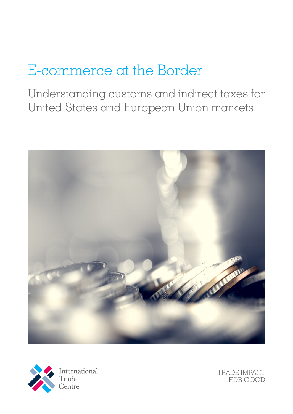# E-commerce at the Border

Understanding customs and indirect taxes for United States and European Union markets





TRADE IMPACT FOR GOOD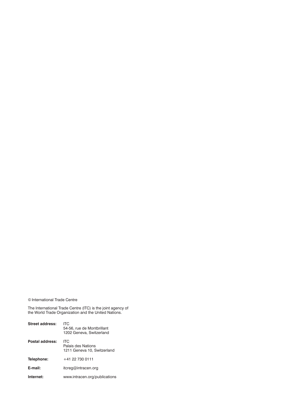#### © International Trade Centre

The International Trade Centre (ITC) is the joint agency of the World Trade Organization and the United Nations.

| Street address: | ITC<br>54-56, rue de Montbrillant<br>1202 Geneva, Switzerland |
|-----------------|---------------------------------------------------------------|
| Postal address: | ITC<br>Palais des Nations<br>1211 Geneva 10, Switzerland      |
| Telephone:      | +41 22 730 0111                                               |
| E-mail:         | itcreg@intracen.org                                           |
| Internet:       | www.intracen.org/publications                                 |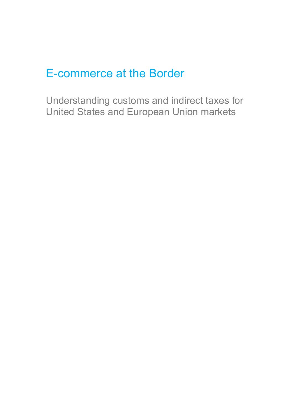## E-commerce at the Border

Understanding customs and indirect taxes for United States and European Union markets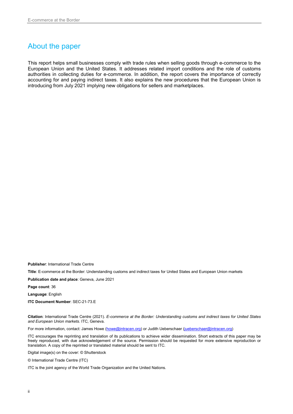## About the paper

This report helps small businesses comply with trade rules when selling goods through e-commerce to the European Union and the United States. It addresses related import conditions and the role of customs authorities in collecting duties for e-commerce. In addition, the report covers the importance of correctly accounting for and paying indirect taxes. It also explains the new procedures that the European Union is introducing from July 2021 implying new obligations for sellers and marketplaces.

**Publisher**: International Trade Centre

**Title**: E-commerce at the Border: Understanding customs and indirect taxes for United States and European Union markets

**Publication date and place**: Geneva, June 2021

**Page count**: 36

**Language**: English

**ITC Document Number**: SEC-21-73.E

**Citation**: International Trade Centre (2021). *E-commerce at the Border: Understanding customs and indirect taxes for United States and European Union markets*. ITC, Geneva.

For more information, contact: James Howe [\(howe@intracen.org\)](mailto:howe@intracen.org) or Judith Ueberschaer (jueberschaer@intracen.org)

ITC encourages the reprinting and translation of its publications to achieve wider dissemination. Short extracts of this paper may be freely reproduced, with due acknowledgement of the source. Permission should be requested for more extensive reproduction or translation. A copy of the reprinted or translated material should be sent to ITC.

Digital image(s) on the cover: © Shutterstock

© International Trade Centre (ITC)

ITC is the joint agency of the World Trade Organization and the United Nations.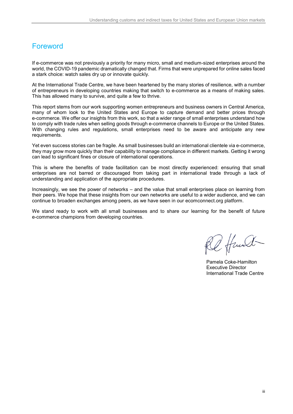## <span id="page-4-0"></span>Foreword

If e-commerce was not previously a priority for many micro, small and medium-sized enterprises around the world, the COVID-19 pandemic dramatically changed that. Firms that were unprepared for online sales faced a stark choice: watch sales dry up or innovate quickly.

At the International Trade Centre, we have been heartened by the many stories of resilience, with a number of entrepreneurs in developing countries making that switch to e-commerce as a means of making sales. This has allowed many to survive, and quite a few to thrive.

This report stems from our work supporting women entrepreneurs and business owners in Central America, many of whom look to the United States and Europe to capture demand and better prices through e-commerce. We offer our insights from this work, so that a wider range of small enterprises understand how to comply with trade rules when selling goods through e-commerce channels to Europe or the United States. With changing rules and regulations, small enterprises need to be aware and anticipate any new requirements.

Yet even success stories can be fragile. As small businesses build an international clientele via e-commerce, they may grow more quickly than their capability to manage compliance in different markets. Getting it wrong can lead to significant fines or closure of international operations.

This is where the benefits of trade facilitation can be most directly experienced: ensuring that small enterprises are not barred or discouraged from taking part in international trade through a lack of understanding and application of the appropriate procedures.

Increasingly, we see the power of networks – and the value that small enterprises place on learning from their peers. We hope that these insights from our own networks are useful to a wider audience, and we can continue to broaden exchanges among peers, as we have seen in our ecomconnect.org platform.

We stand ready to work with all small businesses and to share our learning for the benefit of future e-commerce champions from developing countries.

2 Hand

Pamela Coke-Hamilton Executive Director International Trade Centre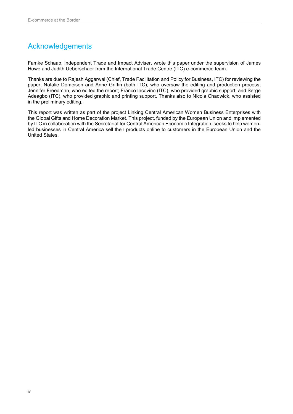## <span id="page-5-0"></span>Acknowledgements

Famke Schaap, Independent Trade and Impact Adviser, wrote this paper under the supervision of James Howe and Judith Ueberschaer from the International Trade Centre (ITC) e-commerce team.

Thanks are due to Rajesh Aggarwal (Chief, Trade Facilitation and Policy for Business, ITC) for reviewing the paper; Natalie Domeisen and Anne Griffin (both ITC), who oversaw the editing and production process; Jennifer Freedman, who edited the report; Franco Iacovino (ITC), who provided graphic support; and Serge Adeagbo (ITC), who provided graphic and printing support. Thanks also to Nicola Chadwick, who assisted in the preliminary editing.

This report was written as part of the project Linking Central American Women Business Enterprises with the Global Gifts and Home Decoration Market. This project, funded by the European Union and implemented by ITC in collaboration with the Secretariat for Central American Economic Integration, seeks to help womenled businesses in Central America sell their products online to customers in the European Union and the United States.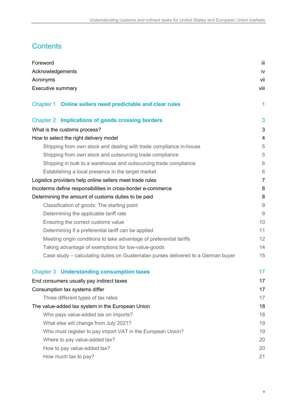## **Contents**

| Foreword                                                                         | iii            |
|----------------------------------------------------------------------------------|----------------|
| Acknowledgements                                                                 | iv             |
| Acronyms                                                                         | vii            |
| Executive summary                                                                | viii           |
| Chapter 1 Online sellers need predictable and clear rules                        | 1              |
| Chapter 2 Implications of goods crossing borders                                 | 3              |
| What is the customs process?                                                     | 3              |
| How to select the right delivery model                                           | $\overline{4}$ |
| Shipping from own stock and dealing with trade compliance in-house               | 5              |
| Shipping from own stock and outsourcing trade compliance                         | 5              |
| Shipping in bulk to a warehouse and outsourcing trade compliance                 | 6              |
| Establishing a local presence in the target market                               | 6              |
| Logistics providers help online sellers meet trade rules                         | $\overline{7}$ |
| Incoterms define responsibilities in cross-border e-commerce                     | 8              |
| Determining the amount of customs duties to be paid                              | 8              |
| Classification of goods: The starting point                                      | $\overline{9}$ |
| Determining the applicable tariff rate                                           | $\overline{9}$ |
| Ensuring the correct customs value                                               | 10             |
| Determining if a preferential tariff can be applied                              | 11             |
| Meeting origin conditions to take advantage of preferential tariffs              | 12             |
| Taking advantage of exemptions for low-value-goods                               | 14             |
| Case study – calculating duties on Guatemalan purses delivered to a German buyer | 15             |
| <b>Chapter 3 Understanding consumption taxes</b>                                 | 17             |
| End consumers usually pay indirect taxes                                         | 17             |
| Consumption tax systems differ                                                   | 17             |
| Three different types of tax rates                                               | 17             |
| The value-added tax system in the European Union                                 | 18             |
| Who pays value-added tax on imports?                                             | 18             |
| What else will change from July 2021?                                            | 19             |
| Who must register to pay import VAT in the European Union?                       | 19             |
| Where to pay value-added tax?                                                    | 20             |
| How to pay value-added tax?                                                      | 20             |
| How much tax to pay?                                                             | 21             |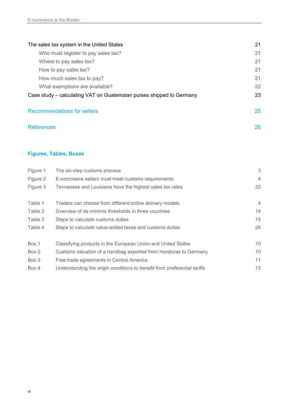| The sales tax system in the United States                            | 21 |
|----------------------------------------------------------------------|----|
| Who must register to pay sales tax?                                  | 21 |
| Where to pay sales tax?                                              | 21 |
| How to pay sales tax?                                                | 21 |
| How much sales tax to pay?                                           | 21 |
| What exemptions are available?                                       | 22 |
| Case study – calculating VAT on Guatemalan purses shipped to Germany | 23 |
| <b>Recommendations for sellers</b>                                   | 25 |
| <b>References</b>                                                    | 26 |

## **Figures, Tables, Boxes**

| Figure 1 | The six-step customs process                                             | 3               |
|----------|--------------------------------------------------------------------------|-----------------|
| Figure 2 | E-commerce sellers must meet customs requirements                        | $\overline{4}$  |
| Figure 3 | Tennessee and Louisiana have the highest sales tax rates                 | 22              |
|          |                                                                          |                 |
| Table 1  | Traders can choose from different online delivery models                 | $\overline{4}$  |
| Table 2  | Overview of de minimis thresholds in three countries                     | 14              |
| Table 3  | Steps to calculate customs duties                                        | 15              |
| Table 4  | Steps to calculate value-added taxes and customs duties                  | 24              |
| Box 1    | Classifying products in the European Union and United States             | 10 <sup>°</sup> |
| Box 2    | Customs valuation of a handbag exported from Honduras to Germany         | 10              |
| Box 3    | Free trade agreements in Central America                                 | 11              |
| Box 4    | Understanding the origin conditions to benefit from preferential tariffs | 13              |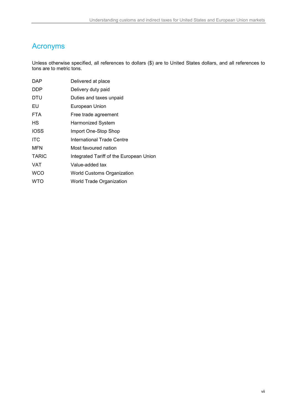## <span id="page-8-0"></span>Acronyms

Unless otherwise specified, all references to dollars (\$) are to United States dollars, and all references to tons are to metric tons.

| <b>DAP</b>   | Delivered at place                      |
|--------------|-----------------------------------------|
| <b>DDP</b>   | Delivery duty paid                      |
| DTU          | Duties and taxes unpaid                 |
| EU           | <b>European Union</b>                   |
| <b>FTA</b>   | Free trade agreement                    |
| НS           | Harmonized System                       |
| <b>IOSS</b>  | Import One-Stop Shop                    |
| <b>ITC</b>   | International Trade Centre              |
| <b>MFN</b>   | Most favoured nation                    |
| <b>TARIC</b> | Integrated Tariff of the European Union |
| <b>VAT</b>   | Value-added tax                         |
| <b>WCO</b>   | <b>World Customs Organization</b>       |
| <b>WTO</b>   | <b>World Trade Organization</b>         |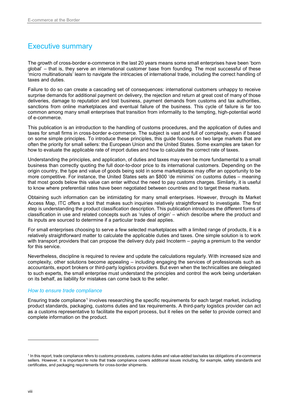## <span id="page-9-0"></span>Executive summary

The growth of cross-border e-commerce in the last 20 years means some small enterprises have been 'born global' – that is, they serve an international customer base from founding. The most successful of these 'micro multinationals' learn to navigate the intricacies of international trade, including the correct handling of taxes and duties.

Failure to do so can create a cascading set of consequences: international customers unhappy to receive surprise demands for additional payment on delivery, the rejection and return at great cost of many of those deliveries, damage to reputation and lost business, payment demands from customs and tax authorities, sanctions from online marketplaces and eventual failure of the business. This cycle of failure is far too common among many small enterprises that transition from informality to the tempting, high-potential world of e-commerce.

This publication is an introduction to the handling of customs procedures, and the application of duties and taxes for small firms in cross-border e-commerce. The subject is vast and full of complexity, even if based on some simple principles. To introduce these principles, this guide focuses on two large markets that are often the priority for small sellers: the European Union and the United States. Some examples are taken for how to evaluate the applicable rate of import duties and how to calculate the correct rate of taxes.

Understanding the principles, and application, of duties and taxes may even be more fundamental to a small business than correctly quoting the full door-to-door price to its international customers. Depending on the origin country, the type and value of goods being sold in some marketplaces may offer an opportunity to be more competitive. For instance, the United States sets an \$800 'de minimis' on customs duties – meaning that most goods below this value can enter without the need to pay customs charges. Similarly, it is useful to know where preferential rates have been negotiated between countries and to target these markets.

Obtaining such information can be intimidating for many small enterprises. However, through its Market Access Map, ITC offers a tool that makes such inquiries relatively straightforward to investigate. The first step is understanding the product classification description. This publication introduces the different forms of classification in use and related concepts such as 'rules of origin' – which describe where the product and its inputs are sourced to determine if a particular trade deal applies.

For small enterprises choosing to serve a few selected marketplaces with a limited range of products, it is a relatively straightforward matter to calculate the applicable duties and taxes. One simple solution is to work with transport providers that can propose the delivery duty paid Incoterm – paying a premium to the vendor for this service.

Nevertheless, discipline is required to review and update the calculations regularly. With increased size and complexity, other solutions become appealing – including engaging the services of professionals such as accountants, export brokers or third-party logistics providers. But even when the technicalities are delegated to such experts, the small enterprise must understand the principles and control the work being undertaken on its behalf, as liability for mistakes can come back to the seller.

#### *How to ensure trade compliance*

Ensuring trade compliance<sup>[1](#page-9-1)</sup> involves researching the specific requirements for each target market, including product standards, packaging, customs duties and tax requirements. A third-party logistics provider can act as a customs representative to facilitate the export process, but it relies on the seller to provide correct and complete information on the product.

<span id="page-9-1"></span><sup>1</sup> In this report, trade compliance refers to customs procedures, customs duties and value-added tax/sales tax obligations of e-commerce sellers. However, it is important to note that trade compliance covers additional issues including, for example, safety standards and certificates, and packaging requirements for cross-border shipments.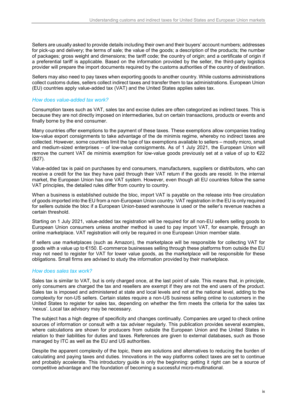Sellers are usually asked to provide details including their own and their buyers' account numbers; addresses for pick-up and delivery; the terms of sale; the value of the goods; a description of the products; the number of packages; gross weight and dimensions; the tariff code; the country of origin; and a certificate of origin if a preferential tariff is applicable. Based on the information provided by the seller, the third-party logistics provider will prepare the import documents required by the customs authorities of the country of destination.

Sellers may also need to pay taxes when exporting goods to another country. While customs administrations collect customs duties, sellers collect indirect taxes and transfer them to tax administrations. European Union (EU) countries apply value-added tax (VAT) and the United States applies sales tax.

#### *How does value-added tax work?*

Consumption taxes such as VAT, sales tax and excise duties are often categorized as indirect taxes. This is because they are not directly imposed on intermediaries, but on certain transactions, products or events and finally borne by the end consumer.

Many countries offer exemptions to the payment of these taxes. These exemptions allow companies trading low-value export consignments to take advantage of the de minimis regime, whereby no indirect taxes are collected. However, some countries limit the type of tax exemptions available to sellers – mostly micro, small and medium-sized enterprises – of low-value consignments. As of 1 July 2021, the European Union will remove the current VAT de minimis exemption for low-value goods previously set at a value of up to €22 (\$27).

Value-added tax is paid on purchases by end consumers, manufacturers, suppliers or distributors, who can receive a credit for the tax they have paid through their VAT return if the goods are resold. In the internal market, the European Union has one VAT system. However, even though all EU countries follow the same VAT principles, the detailed rules differ from country to country.

When a business is established outside the bloc, import VAT is payable on the release into free circulation of goods imported into the EU from a non-European Union country. VAT registration in the EU is only required for sellers outside the bloc if a European Union-based warehouse is used or the seller's revenue reaches a certain threshold.

Starting on 1 July 2021, value-added tax registration will be required for all non-EU sellers selling goods to European Union consumers unless another method is used to pay import VAT, for example, through an online marketplace. VAT registration will only be required in one European Union member state.

If sellers use marketplaces (such as Amazon), the marketplace will be responsible for collecting VAT for goods with a value up to €150. E-commerce businesses selling through these platforms from outside the EU may not need to register for VAT for lower value goods, as the marketplace will be responsible for these obligations. Small firms are advised to study the information provided by their marketplace.

#### *How does sales tax work?*

Sales tax is similar to VAT, but is only charged once, at the last point of sale. This means that, in principle, only consumers are charged the tax and resellers are exempt if they are not the end users of the product. Sales tax is imposed and administered at state and local levels and not at the national level, adding to the complexity for non-US sellers. Certain states require a non-US business selling online to customers in the United States to register for sales tax, depending on whether the firm meets the criteria for the sales tax 'nexus'. Local tax advisory may be necessary.

The subject has a high degree of specificity and changes continually. Companies are urged to check online sources of information or consult with a tax adviser regularly. This publication provides several examples, where calculations are shown for producers from outside the European Union and the United States in relation to their liabilities for duties and taxes. References are given to external databases, such as those managed by ITC as well as the EU and US authorities.

Despite the apparent complexity of the topic, there are solutions and alternatives to reducing the burden of calculating and paying taxes and duties. Innovations in the way platforms collect taxes are set to continue and probably accelerate. This introductory guide is only the beginning: getting it right can be a source of competitive advantage and the foundation of becoming a successful micro-multinational.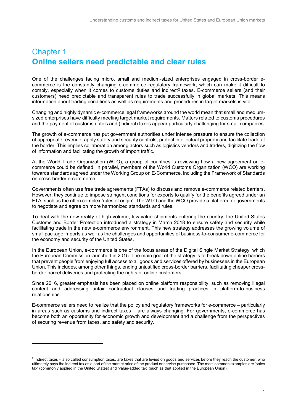## <span id="page-12-0"></span>Chapter 1 **Online sellers need predictable and clear rules**

One of the challenges facing micro, small and medium-sized enterprises engaged in cross-border ecommerce is the constantly changing e-commerce regulatory framework, which can make it difficult to comply, especially when it comes to customs duties and indirect<sup>[2](#page-12-1)</sup> taxes. E-commerce sellers (and their customers) need predictable and transparent rules to trade successfully in global markets. This means information about trading conditions as well as requirements and procedures in target markets is vital.

Changing and highly dynamic e-commerce legal frameworks around the world mean that small and mediumsized enterprises have difficulty meeting target market requirements. Matters related to customs procedures and the payment of customs duties and (indirect) taxes appear particularly challenging for small companies.

The growth of e-commerce has put government authorities under intense pressure to ensure the collection of appropriate revenue, apply safety and security controls, protect intellectual property and facilitate trade at the border. This implies collaboration among actors such as logistics vendors and traders, digitizing the flow of information and facilitating the growth of import traffic.

At the World Trade Organization (WTO), a group of countries is reviewing how a new agreement on ecommerce could be defined. In parallel, members of the World Customs Organization (WCO) are working towards standards agreed under the Working Group on E-Commerce, including the Framework of Standards on cross-border e-commerce.

Governments often use free trade agreements (FTAs) to discuss and remove e-commerce related barriers. However, they continue to impose stringent conditions for exports to qualify for the benefits agreed under an FTA, such as the often complex 'rules of origin'. The WTO and the WCO provide a platform for governments to negotiate and agree on more harmonized standards and rules.

To deal with the new reality of high-volume, low-value shipments entering the country, the United States Customs and Border Protection introduced a strategy in March 2018 to ensure safety and security while facilitating trade in the new e-commerce environment. This new strategy addresses the growing volume of small package imports as well as the challenges and opportunities of business-to-consumer e-commerce for the economy and security of the United States.

In the European Union, e-commerce is one of the focus areas of the Digital Single Market Strategy, which the European Commission launched in 2015. The main goal of the strategy is to break down online barriers that prevent people from enjoying full access to all goods and services offered by businesses in the European Union. This includes, among other things, ending unjustified cross-border barriers, facilitating cheaper crossborder parcel deliveries and protecting the rights of online customers.

Since 2016, greater emphasis has been placed on online platform responsibility, such as removing illegal content and addressing unfair contractual clauses and trading practices in platform-to-business relationships.

E-commerce sellers need to realize that the policy and regulatory frameworks for e-commerce – particularly in areas such as customs and indirect taxes – are always changing. For governments, e-commerce has become both an opportunity for economic growth and development and a challenge from the perspectives of securing revenue from taxes, and safety and security.

<span id="page-12-1"></span><sup>&</sup>lt;sup>2</sup> Indirect taxes – also called consumption taxes, are taxes that are levied on goods and services before they reach the customer, who ultimately pays the indirect tax as a part of the market price of the product or service purchased. The most common examples are 'sales tax' (commonly applied in the United States) and 'value-added tax' (such as that applied in the European Union).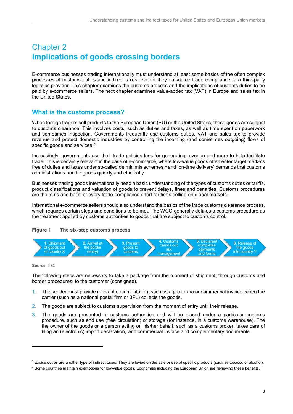## <span id="page-14-0"></span>Chapter 2 **Implications of goods crossing borders**

E-commerce businesses trading internationally must understand at least some basics of the often complex processes of customs duties and indirect taxes, even if they outsource trade compliance to a third-party logistics provider. This chapter examines the customs process and the implications of customs duties to be paid by e-commerce sellers. The next chapter examines value-added tax (VAT) in Europe and sales tax in the United States.

## <span id="page-14-1"></span>**What is the customs process?**

When foreign traders sell products to the European Union (EU) or the United States, these goods are subject to customs clearance. This involves costs, such as duties and taxes, as well as time spent on paperwork and sometimes inspection. Governments frequently use customs duties, VAT and sales tax to provide revenue and protect domestic industries by controlling the incoming (and sometimes outgoing) flows of specific goods and services.<sup>[3](#page-14-3)</sup>

Increasingly, governments use their trade policies less for generating revenue and more to help facilitate trade. This is certainly relevant in the case of e-commerce, where low-value goods often enter target markets free of duties and taxes under so-called de minimis schemes,<sup>[4](#page-14-4)</sup> and 'on-time delivery' demands that customs administrations handle goods quickly and efficiently.

Businesses trading goods internationally need a basic understanding of the types of customs duties or tariffs, product classifications and valuation of goods to prevent delays, fines and penalties. Customs procedures are the 'nuts and bolts' of every trade-compliance effort for firms selling on global markets.

International e-commerce sellers should also understand the basics of the trade customs clearance process, which requires certain steps and conditions to be met. The WCO generally defines a customs procedure as the treatment applied by customs authorities to goods that are subject to customs control.

## <span id="page-14-2"></span>**Figure 1 The six-step customs process**



**Source**: ITC.

j

The following steps are necessary to take a package from the moment of shipment, through customs and border procedures, to the customer (consignee).

- 1. The sender must provide relevant documentation, such as a pro forma or commercial invoice, when the carrier (such as a national postal firm or 3PL) collects the goods.
- 2. The goods are subject to customs supervision from the moment of entry until their release.
- 3. The goods are presented to customs authorities and will be placed under a particular customs procedure, such as end use (free circulation) or storage (for instance, in a customs warehouse). The the owner of the goods or a person acting on his/her behalf, such as a customs broker, takes care of filing an (electronic) import declaration, with commercial invoice and complementary documents.

<span id="page-14-3"></span><sup>&</sup>lt;sup>3</sup> Excise duties are another type of indirect taxes. They are levied on the sale or use of specific products (such as tobacco or alcohol).

<span id="page-14-4"></span><sup>4</sup> Some countries maintain exemptions for low-value goods. Economies including the European Union are reviewing these benefits.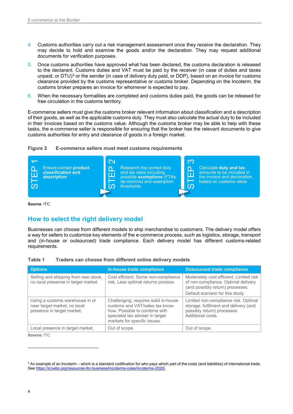- 4. Customs authorities carry out a risk management assessment once they receive the declaration. They may decide to hold and examine the goods and/or the declaration. They may request additional documents for verification purposes.
- 5. Once customs authorities have approved what has been declared, the customs declaration is released to the declarant. Customs duties and VAT must be paid by the receiver (in case of duties and taxes unpaid, or DTU)<sup>[5](#page-15-3)</sup> or the sender (in case of delivery duty paid, or DDP), based on an invoice for customs clearance provided by the customs representative or customs broker. Depending on the Incoterm, the customs broker prepares an invoice for whomever is expected to pay.
- 6. When the necessary formalities are completed and customs duties paid, the goods can be released for free circulation in the customs territory.

E-commerce sellers must give the customs broker relevant information about classification and a description of their goods, as well as the applicable customs duty. They must also calculate the actual duty to be included in their invoices based on the customs value. Although the customs broker may be able to help with these tasks, the e-commerce seller is responsible for ensuring that the broker has the relevant documents to give customs authorities for entry and clearance of goods in a foreign market.

<span id="page-15-1"></span>



## <span id="page-15-0"></span>**How to select the right delivery model**

<span id="page-15-2"></span>

| Table 1 |  |  |  | Traders can choose from different online delivery models |
|---------|--|--|--|----------------------------------------------------------|
|---------|--|--|--|----------------------------------------------------------|

| Ensure correct product<br><b>STEP</b><br>classification and<br>description                    | $\vee$<br>Research the correct duty<br>൨<br>and tax rates including<br>冚<br>possible exemptions (FTAs,<br>de minimis) and exemption<br>ၯ<br>thresholds                                                                                                                                                                                                                                  | Q)<br>Calculate duty and tax<br>$\mathbf{\Omega}$<br>amounts to be included in<br>ш<br>the invoice and declaration.<br>⊢<br>based on customs value<br>ၯ |
|-----------------------------------------------------------------------------------------------|-----------------------------------------------------------------------------------------------------------------------------------------------------------------------------------------------------------------------------------------------------------------------------------------------------------------------------------------------------------------------------------------|---------------------------------------------------------------------------------------------------------------------------------------------------------|
| Source: ITC.                                                                                  |                                                                                                                                                                                                                                                                                                                                                                                         |                                                                                                                                                         |
| How to select the right delivery model                                                        |                                                                                                                                                                                                                                                                                                                                                                                         |                                                                                                                                                         |
| requirements.<br>Table 1                                                                      | Businesses can choose from different models to ship merchandise to customers. The delivery model offers<br>a way for sellers to customize key elements of the e-commerce process, such as logistics, storage, transport<br>and (in-house or outsourced) trade compliance. Each delivery model has different customs-related<br>Traders can choose from different online delivery models |                                                                                                                                                         |
|                                                                                               |                                                                                                                                                                                                                                                                                                                                                                                         |                                                                                                                                                         |
| <b>Options</b>                                                                                | In-house trade compliance                                                                                                                                                                                                                                                                                                                                                               | <b>Outsourced trade compliance</b>                                                                                                                      |
| Selling and shipping from own stock,<br>no local presence in target market.                   | Cost efficient. Some non-compliance<br>risk. Less optimal returns process.                                                                                                                                                                                                                                                                                                              | Moderately cost efficient. Limited risk<br>of non-compliance. Optimal delivery<br>(and possibly return) processes.<br>Default scenario for this study   |
| Using a customs warehouse in or<br>near target market, no local<br>presence in target market. | Challenging; requires solid in-house<br>customs and VAT/sales tax know-<br>how. Possible to combine with<br>specialist tax adviser in target<br>markets for specific issues.                                                                                                                                                                                                            | Limited non-compliance risk. Optimal<br>storage, fulfilment and delivery (and<br>possibly return) processes.<br>Additional costs.                       |
| Local presence in target market.                                                              | Out of scope.                                                                                                                                                                                                                                                                                                                                                                           | Out of scope.                                                                                                                                           |

<span id="page-15-3"></span> $5$  An example of an Incoterm – which is a standard codification for who pays which part of the costs (and liabilities) of international trade.<br>See https://iccwbo.org/resources-for-business/incoterms-rules/incoterms-2020/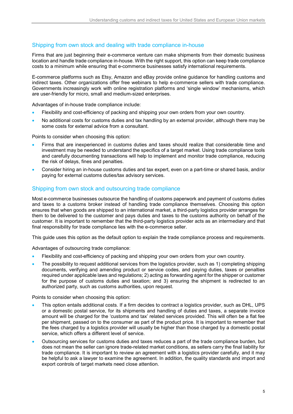### <span id="page-16-0"></span>Shipping from own stock and dealing with trade compliance in-house

Firms that are just beginning their e-commerce venture can make shipments from their domestic business location and handle trade compliance in-house. With the right support, this option can keep trade compliance costs to a minimum while ensuring that e-commerce businesses satisfy international requirements.

E-commerce platforms such as Etsy, Amazon and eBay provide online guidance for handling customs and indirect taxes. Other organizations offer free webinars to help e-commerce sellers with trade compliance. Governments increasingly work with online registration platforms and 'single window' mechanisms, which are user-friendly for micro, small and medium-sized enterprises.

Advantages of in-house trade compliance include:

- Flexibility and cost-efficiency of packing and shipping your own orders from your own country.
- No additional costs for customs duties and tax handling by an external provider, although there may be some costs for external advice from a consultant.

Points to consider when choosing this option:

- Firms that are inexperienced in customs duties and taxes should realize that considerable time and investment may be needed to understand the specifics of a target market. Using trade compliance tools and carefully documenting transactions will help to implement and monitor trade compliance, reducing the risk of delays, fines and penalties.
- Consider hiring an in-house customs duties and tax expert, even on a part-time or shared basis, and/or paying for external customs duties/tax advisory services.

#### <span id="page-16-1"></span>Shipping from own stock and outsourcing trade compliance

Most e-commerce businesses outsource the handling of customs paperwork and payment of customs duties and taxes to a customs broker instead of handling trade compliance themselves. Choosing this option ensures that when goods are shipped to an international market, a third-party logistics provider arranges for them to be delivered to the customer and pays duties and taxes to the customs authority on behalf of the customer. It is important to remember that the third-party logistics provider acts as an intermediary and that final responsibility for trade compliance lies with the e-commerce seller.

This guide uses this option as the default option to explain the trade compliance process and requirements.

Advantages of outsourcing trade compliance:

- Flexibility and cost-efficiency of packing and shipping your own orders from your own country.
- The possibility to request additional services from the logistics provider, such as 1) completing shipping documents, verifying and amending product or service codes, and paying duties, taxes or penalties required under applicable laws and regulations; 2) acting as forwarding agent for the shipper or customer for the purpose of customs duties and taxation; and 3) ensuring the shipment is redirected to an authorized party, such as customs authorities, upon request.

Points to consider when choosing this option:

- This option entails additional costs. If a firm decides to contract a logistics provider, such as DHL, UPS or a domestic postal service, for its shipments and handling of duties and taxes, a separate invoice amount will be charged for the 'customs and tax' related services provided. This will often be a flat fee per shipment, passed on to the consumer as part of the product price. It is important to remember that the fees charged by a logistics provider will usually be higher than those charged by a domestic postal service, which offers a different level of service.
- Outsourcing services for customs duties and taxes reduces a part of the trade compliance burden, but does not mean the seller can ignore trade-related market conditions, as sellers carry the final liability for trade compliance. It is important to review an agreement with a logistics provider carefully, and it may be helpful to ask a lawyer to examine the agreement. In addition, the quality standards and import and export controls of target markets need close attention.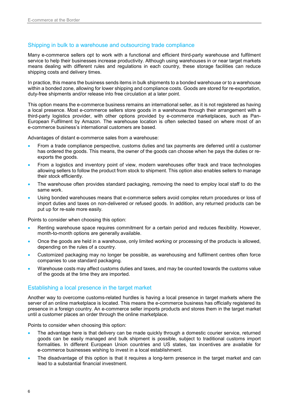### <span id="page-17-0"></span>Shipping in bulk to a warehouse and outsourcing trade compliance

Many e-commerce sellers opt to work with a functional and efficient third-party warehouse and fulfilment service to help their businesses increase productivity. Although using warehouses in or near target markets means dealing with different rules and regulations in each country, these storage facilities can reduce shipping costs and delivery times.

In practice, this means the business sends items in bulk shipments to a bonded warehouse or to a warehouse within a bonded zone, allowing for lower shipping and compliance costs. Goods are stored for re-exportation, duty-free shipments and/or release into free circulation at a later point.

This option means the e-commerce business remains an international seller, as it is not registered as having a local presence. Most e-commerce sellers store goods in a warehouse through their arrangement with a third-party logistics provider, with other options provided by e-commerce marketplaces, such as Pan-European Fulfilment by Amazon. The warehouse location is often selected based on where most of an e-commerce business's international customers are based.

Advantages of distant e-commerce sales from a warehouse:

- From a trade compliance perspective, customs duties and tax payments are deferred until a customer has ordered the goods. This means, the owner of the goods can choose when he pays the duties or reexports the goods.
- From a logistics and inventory point of view, modern warehouses offer track and trace technologies allowing sellers to follow the product from stock to shipment. This option also enables sellers to manage their stock efficiently.
- The warehouse often provides standard packaging, removing the need to employ local staff to do the same work.
- Using bonded warehouses means that e-commerce sellers avoid complex return procedures or loss of import duties and taxes on non-delivered or refused goods. In addition, any returned products can be put up for re-sale more easily.

Points to consider when choosing this option:

- Renting warehouse space requires commitment for a certain period and reduces flexibility. However, month-to-month options are generally available.
- Once the goods are held in a warehouse, only limited working or processing of the products is allowed, depending on the rules of a country.
- Customized packaging may no longer be possible, as warehousing and fulfilment centres often force companies to use standard packaging.
- Warehouse costs may affect customs duties and taxes, and may be counted towards the customs value of the goods at the time they are imported.

#### <span id="page-17-1"></span>Establishing a local presence in the target market

Another way to overcome customs-related hurdles is having a local presence in target markets where the server of an online marketplace is located. This means the e-commerce business has officially registered its presence in a foreign country. An e-commerce seller imports products and stores them in the target market until a customer places an order through the online marketplace.

Points to consider when choosing this option:

- The advantage here is that delivery can be made quickly through a domestic courier service, returned goods can be easily managed and bulk shipment is possible, subject to traditional customs import formalities. In different European Union countries and US states, tax incentives are available for e-commerce businesses wishing to invest in a local establishment.
- The disadvantage of this option is that it requires a long-term presence in the target market and can lead to a substantial financial investment.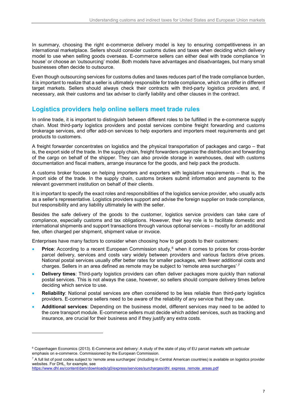In summary, choosing the right e-commerce delivery model is key to ensuring competitiveness in an international marketplace. Sellers should consider customs duties and taxes when deciding which delivery model to use when selling goods overseas. E-commerce sellers can either deal with trade compliance 'in house' or choose an 'outsourcing' model. Both models have advantages and disadvantages, but many small businesses often decide to outsource.

Even though outsourcing services for customs duties and taxes reduces part of the trade compliance burden, it is important to realize that a seller is ultimately responsible for trade compliance, which can differ in different target markets. Sellers should always check their contracts with third-party logistics providers and, if necessary, ask their customs and tax adviser to clarify liability and other clauses in the contract.

## <span id="page-18-0"></span>**Logistics providers help online sellers meet trade rules**

In online trade, it is important to distinguish between different roles to be fulfilled in the e-commerce supply chain. Most third-party logistics providers and postal services combine freight forwarding and customs brokerage services, and offer add-on services to help exporters and importers meet requirements and get products to customers.

A freight forwarder concentrates on logistics and the physical transportation of packages and cargo – that is, the export side of the trade. In the supply chain, freight forwarders organize the distribution and forwarding of the cargo on behalf of the shipper. They can also provide storage in warehouses, deal with customs documentation and fiscal matters, arrange insurance for the goods, and help pack the products.

A customs broker focuses on helping importers and exporters with legislative requirements – that is, the import side of the trade. In the supply chain, customs brokers submit information and payments to the relevant government institution on behalf of their clients.

It is important to specify the exact roles and responsibilities of the logistics service provider, who usually acts as a seller's representative. Logistics providers support and advise the foreign supplier on trade compliance, but responsibility and any liability ultimately lie with the seller.

Besides the safe delivery of the goods to the customer, logistics service providers can take care of compliance, especially customs and tax obligations. However, their key role is to facilitate domestic and international shipments and support transactions through various optional services – mostly for an additional fee, often charged per shipment, shipment value or invoice.

Enterprises have many factors to consider when choosing how to get goods to their customers:

- **Price**: According to a recent European Commission study,<sup>[6](#page-18-1)</sup> when it comes to prices for cross-border parcel delivery, services and costs vary widely between providers and various factors drive prices. National postal services usually offer better rates for smaller packages, with fewer additional costs and charges. Sellers in an area defined as remote may be subject to 'remote area surcharges'.[7](#page-18-2)
- **Delivery times**: Third-party logistics providers can often deliver packages more quickly than national postal services. This is not always the case, however, so sellers should compare delivery times before deciding which service to use.
- **Reliability**: National postal services are often considered to be less reliable than third-party logistics providers. E-commerce sellers need to be aware of the reliability of any service that they use.
- **Additional services**: Depending on the business model, different services may need to be added to the core transport module. E-commerce sellers must decide which added services, such as tracking and insurance, are crucial for their business and if they justify any extra costs.

<span id="page-18-1"></span><sup>&</sup>lt;sup>6</sup> Copenhagen Economics (2013). E-Commerce and delivery: A study of the state of play of EU parcel markets with particular emphasis on e-commerce. Commissioned by the European Commission.

<span id="page-18-2"></span> $7$  A full list of post codes subject to 'remote area surcharges' (including in Central American countries) is available on logistics provider websites. For DHL, for example, see

[https://www.dhl.es/content/dam/downloads/g0/express/services/surcharges/dhl\\_express\\_remote\\_areas.pdf](https://www.dhl.es/content/dam/downloads/g0/express/services/surcharges/dhl_express_remote_areas.pdf)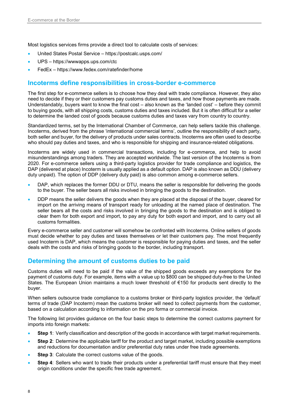Most logistics services firms provide a direct tool to calculate costs of services:

- United States Postal Service https://postcalc.usps.com/
- UPS <https://wwwapps.ups.com/ctc>
- FedEx https[://www.fedex.com/ratefinder/home](https://www.fedex.com/ratefinder/home)

## <span id="page-19-0"></span>**Incoterms define responsibilities in cross-border e-commerce**

The first step for e-commerce sellers is to choose how they deal with trade compliance. However, they also need to decide if they or their customers pay customs duties and taxes, and how those payments are made. Understandably, buyers want to know the final cost – also known as the 'landed cost' – before they commit to buying goods, with all shipping costs, customs duties and taxes included. But it is often difficult for a seller to determine the landed cost of goods because customs duties and taxes vary from country to country.

Standardized terms, set by the International Chamber of Commerce, can help sellers tackle this challenge. Incoterms, derived from the phrase 'international commercial terms', outline the responsibility of each party, both seller and buyer, for the delivery of products under sales contracts. Incoterms are often used to describe who should pay duties and taxes, and who is responsible for shipping and insurance-related obligations.

Incoterms are widely used in commercial transactions, including for e-commerce, and help to avoid misunderstandings among traders. They are accepted worldwide. The last version of the Incoterms is from 2020. For e-commerce sellers using a third-party logistics provider for trade compliance and logistics, the DAP (delivered at place) Incoterm is usually applied as a default option. DAP is also known as DDU (delivery duty unpaid). The option of DDP (delivery duty paid) is also common among e-commerce sellers.

- DAP, which replaces the former DDU or DTU, means the seller is responsible for delivering the goods to the buyer. The seller bears all risks involved in bringing the goods to the destination.
- DDP means the seller delivers the goods when they are placed at the disposal of the buyer, cleared for import on the arriving means of transport ready for unloading at the named place of destination. The seller bears all the costs and risks involved in bringing the goods to the destination and is obliged to clear them for both export and import, to pay any duty for both export and import, and to carry out all customs formalities.

Every e-commerce seller and customer will somehow be confronted with Incoterms. Online sellers of goods must decide whether to pay duties and taxes themselves or let their customers pay. The most frequently used Incoterm is DAP, which means the customer is responsible for paying duties and taxes, and the seller deals with the costs and risks of bringing goods to the border, including transport.

## <span id="page-19-1"></span>**Determining the amount of customs duties to be paid**

Customs duties will need to be paid if the value of the shipped goods exceeds any exemptions for the payment of customs duty. For example, items with a value up to \$800 can be shipped duty-free to the United States. The European Union maintains a much lower threshold of €150 for products sent directly to the buyer.

When sellers outsource trade compliance to a customs broker or third-party logistics provider, the 'default' terms of trade (DAP Incoterm) mean the customs broker will need to collect payments from the customer, based on a calculation according to information on the pro forma or commercial invoice.

The following list provides guidance on the four basic steps to determine the correct customs payment for imports into foreign markets:

- **Step 1:** Verify classification and description of the goods in accordance with target market requirements.
- **Step 2**: Determine the applicable tariff for the product and target market, including possible exemptions and reductions for documentation and/or preferential duty rates under free trade agreements.
- **Step 3:** Calculate the correct customs value of the goods.
- **Step 4**: Sellers who want to trade their products under a preferential tariff must ensure that they meet origin conditions under the specific free trade agreement.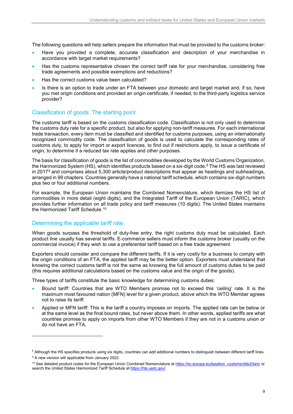The following questions will help sellers prepare the information that must be provided to the customs broker:

- Have you provided a complete, accurate classification and description of your merchandise in accordance with target market requirements?
- Has the customs representative chosen the correct tariff rate for your merchandise, considering free trade agreements and possible exemptions and reductions?
- Has the correct customs value been calculated?
- Is there is an option to trade under an FTA between your domestic and target market and, if so, have you met origin conditions and provided an origin certificate, if needed, to the third-party logistics service provider?

## <span id="page-20-0"></span>Classification of goods: The starting point

The customs tariff is based on the customs classification code. Classification is not only used to determine the customs duty rate for a specific product, but also for applying non-tariff measures. For each international trade transaction, every item must be classified and identified for customs purposes, using an internationally recognized commodity code. The classification of goods is used to calculate the corresponding rates of customs duty, to apply for import or export licences, to find out if restrictions apply, to issue a certificate of origin, to determine if a reduced tax rate applies and other purposes.

The basis for classification of goods is the list of commodities developed by the World Customs Organization, the Harmonized System (HS), which identifies products based on a six-digit code.<sup>[8](#page-20-2)</sup> The HS was last reviewed in 2017 $9$  and comprises about 5,300 article/product descriptions that appear as headings and subheadings, arranged in 99 chapters. Countries generally have a national tariff schedule, which contains six-digit numbers plus two or four additional numbers.

For example, the European Union maintains the Combined Nomenclature, which itemizes the HS list of commodities in more detail (eight digits), and the Integrated Tariff of the European Union (TARIC), which provides further information on all trade policy and tariff measures (10 digits). The United States maintains the Harmonized Tariff Schedule.<sup>[10](#page-20-4)</sup>

#### <span id="page-20-1"></span>Determining the applicable tariff rate

When goods surpass the threshold of duty-free entry, the right customs duty must be calculated. Each product line usually has several tariffs. E-commerce sellers must inform the customs broker (usually on the commercial invoice) if they wish to use a preferential tariff based on a free trade agreement.

Exporters should consider and compare the different tariffs. If it is very costly for a business to comply with the origin conditions of an FTA, the applied tariff may be the better option. Exporters must understand that knowing the correct customs tariff is not the same as knowing the full amount of customs duties to be paid (this requires additional calculations based on the customs value and the origin of the goods).

Three types of tariffs constitute the basic knowledge for determining customs duties:

- Bound tariff: Countries that are WTO Members promise not to exceed this 'ceiling' rate. It is the maximum most favoured nation (MFN) level for a given product, above which the WTO Member agrees not to raise its tariff.
- Applied or MFN tariff: This is the tariff a country imposes on imports. The applied rate can be below or at the same level as the final bound rates, but never above them. In other words, applied tariffs are what countries promise to apply on imports from other WTO Members if they are not in a customs union or do not have an FTA.

j

<sup>&</sup>lt;sup>8</sup> Although the HS specifies products using six digits, countries can add additional numbers to distinguish between different tariff lines.

<span id="page-20-3"></span><span id="page-20-2"></span><sup>&</sup>lt;sup>9</sup> A new version will applicable from January 2022.

<span id="page-20-4"></span><sup>&</sup>lt;sup>10</sup> See detailed product codes for the European Union Combined Nomenclature at [https://ec.europa.eu/taxation\\_customs/dds2/taric](https://ec.europa.eu/taxation_customs/dds2/taric) or search the United States Harmonized Tariff Schedule a[t https://hts.usitc.gov/.](https://hts.usitc.gov/)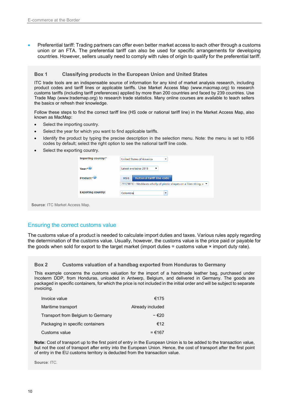• Preferential tariff: Trading partners can offer even better market access to each other through a customs union or an FTA. The preferential tariff can also be used for specific arrangements for developing countries. However, sellers usually need to comply with rules of origin to qualify for the preferential tariff.

#### **Box 1 Classifying products in the European Union and United States**

ITC trade tools are an indispensable source of information for any kind of market analysis research, including product codes and tariff lines or applicable tariffs. Use Market Access Map (www.macmap.org) to research customs tariffs (including tariff preferences) applied by more than 200 countries and faced by 239 countries. Use Trade Map (www.trademap.org) to research trade statistics. Many online courses are available to teach sellers the basics or refresh their knowledge.

Follow these steps to find the correct tariff line (HS code or national tariff line) in the Market Access Map, also known as MacMap:

- Select the importing country.
- Select the year for which you want to find applicable tariffs.
- Identify the product by typing the precise description in the selection menu. Note: the menu is set to HS6 codes by default; select the right option to see the national tariff line code.
- Select the exporting country.

| $Year.*$<br>Product:* <sup>9</sup> | Latest available: 2018<br>▼<br>National tariff line code<br>HS <sub>6</sub>             |
|------------------------------------|-----------------------------------------------------------------------------------------|
|                                    |                                                                                         |
|                                    |                                                                                         |
|                                    | 71179010 - Necklaces wholly of plastic shapes on a fiber string, v $\blacktriangledown$ |
| <b>Exporting country:</b>          | Colombia<br>$\overline{\phantom{a}}$                                                    |

<span id="page-21-0"></span>

#### Ensuring the correct customs value

The customs value of a product is needed to calculate import duties and taxes. Various rules apply regarding the determination of the customs value. Usually, however, the customs value is the price paid or payable for the goods when sold for export to the target market (import duties = customs value × import duty rate).

#### **Box 2 Customs valuation of a handbag exported from Honduras to Germany**

This example concerns the customs valuation for the import of a handmade leather bag, purchased under Incoterm DDP, from Honduras, unloaded in Antwerp, Belgium, and delivered in Germany. The goods are packaged in specific containers, for which the price is not included in the initial order and will be subject to separate invoicing.

| Invoice value                     | €175             |
|-----------------------------------|------------------|
| Maritime transport                | Already included |
| Transport from Belgium to Germany | - €20            |
| Packaging in specific containers  | €12              |
| Customs value                     | = €167           |

**Note:** Cost of transport up to the first point of entry in the European Union is to be added to the transaction value, but not the cost of transport after entry into the European Union. Hence, the cost of transport after the first point of entry in the EU customs territory is deducted from the transaction value.

**Source**: ITC.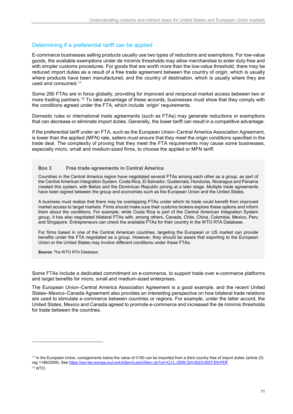## <span id="page-22-0"></span>Determining if a preferential tariff can be applied

E-commerce businesses selling products usually use two types of reductions and exemptions. For low-value goods, the available exemptions under de minimis thresholds may allow merchandise to enter duty-free and with simpler customs procedures. For goods that are worth more than the low-value threshold, there may be reduced import duties as a result of a free trade agreement between the country of origin, which is usually where products have been manufactured, and the country of destination, which is usually where they are used and consumed.<sup>[11](#page-22-1)</sup>

Some 290 FTAs are in force globally, providing for improved and reciprocal market access between two or more trading partners.<sup>[12](#page-22-2)</sup> To take advantage of these accords, businesses must show that they comply with the conditions agreed under the FTA, which include 'origin' requirements.

Domestic rules or international trade agreements (such as FTAs) may generate reductions or exemptions that can decrease or eliminate import duties. Generally, the lower tariff can result in a competitive advantage.

If the preferential tariff under an FTA, such as the European Union–Central America Association Agreement, is lower than the applied (MFN) rate, sellers must ensure that they meet the origin conditions specified in the trade deal. The complexity of proving that they meet the FTA requirements may cause some businesses, especially micro, small and medium-sized firms, to choose the applied or MFN tariff.

#### **Box 3 Free trade agreements in Central America**

Countries in the Central America region have negotiated several FTAs among each other as a group, as part of the Central American Integration System. Costa Rica, El Salvador, Guatemala, Honduras, Nicaragua and Panama created this system, with Belize and the Dominican Republic joining at a later stage. Multiple trade agreements have been signed between the group and economies such as the European Union and the United States.

A business must realize that there may be overlapping FTAs under which its trade could benefit from improved market access to target markets. Firms should make sure their customs brokers explore these options and inform them about the conditions. For example, while Costa Rica is part of the Central American Integration System group, it has also negotiated bilateral FTAs with, among others, Canada, Chile, China, Colombia, Mexico, Peru and Singapore. Entrepreneurs can check the available FTAs for their country in the WTO RTA Database.

For firms based in one of the Central American countries, targeting the European or US market can provide benefits under the FTA negotiated as a group. However, they should be aware that exporting to the European Union or the United States may involve different conditions under these FTAs.

**Source**: The WTO RTA Database.

-

Some FTAs include a dedicated commitment on e-commerce, to support trade over e-commerce platforms and target benefits for micro, small and medium-sized enterprises.

The European Union–Central America Association Agreement is a good example, and the recent United States–Mexico–Canada Agreement also provides an interesting perspective on how bilateral trade relations are used to stimulate e-commerce between countries or regions. For example, under the latter accord, the United States, Mexico and Canada agreed to promote e-commerce and increased the de minimis thresholds for trade between the countries.

<span id="page-22-2"></span><span id="page-22-1"></span><sup>11</sup> In the European Union, consignments below the value of €150 can be imported from a third country free of import duties (article 23, reg 1186/2009). See <https://eur-lex.europa.eu/LexUriServ/LexUriServ.do?uri=OJ:L:2009:324:0023:0057:EN:PDF> <sup>12</sup> WTO.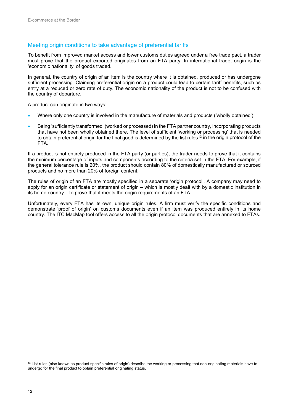## <span id="page-23-0"></span>Meeting origin conditions to take advantage of preferential tariffs

To benefit from improved market access and lower customs duties agreed under a free trade pact, a trader must prove that the product exported originates from an FTA party. In international trade, origin is the 'economic nationality' of goods traded.

In general, the country of origin of an item is the country where it is obtained, produced or has undergone sufficient processing. Claiming preferential origin on a product could lead to certain tariff benefits, such as entry at a reduced or zero rate of duty. The economic nationality of the product is not to be confused with the country of departure.

A product can originate in two ways:

- Where only one country is involved in the manufacture of materials and products ('wholly obtained');
- Being 'sufficiently transformed' (worked or processed) in the FTA partner country, incorporating products that have not been wholly obtained there. The level of sufficient 'working or processing' that is needed to obtain preferential origin for the final good is determined by the list rules<sup>[13](#page-23-1)</sup> in the origin protocol of the FTA.

If a product is not entirely produced in the FTA party (or parties), the trader needs to prove that it contains the minimum percentage of inputs and components according to the criteria set in the FTA. For example, if the general tolerance rule is 20%, the product should contain 80% of domestically manufactured or sourced products and no more than 20% of foreign content.

The rules of origin of an FTA are mostly specified in a separate 'origin protocol'. A company may need to apply for an origin certificate or statement of origin – which is mostly dealt with by a domestic institution in its home country – to prove that it meets the origin requirements of an FTA.

Unfortunately, every FTA has its own, unique origin rules. A firm must verify the specific conditions and demonstrate 'proof of origin' on customs documents even if an item was produced entirely in its home country. The ITC MacMap tool offers access to all the origin protocol documents that are annexed to FTAs.

<span id="page-23-1"></span><sup>&</sup>lt;sup>13</sup> List rules (also known as product-specific rules of origin) describe the working or processing that non-originating materials have to undergo for the final product to obtain preferential originating status.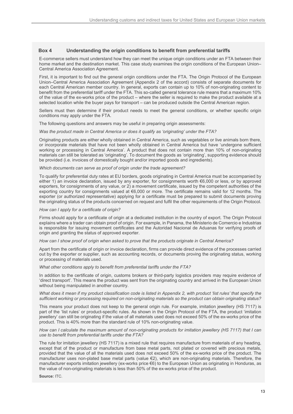#### **Box 4 Understanding the origin conditions to benefit from preferential tariffs**

E-commerce sellers must understand how they can meet the unique origin conditions under an FTA between their home market and the destination market. This case study examines the origin conditions of the European Union– Central America Association Agreement.

First, it is important to find out the general origin conditions under the FTA. The Origin Protocol of the European Union–Central America Association Agreement (Appendix 2 of the accord) consists of separate documents for each Central American member country. In general, exports can contain up to 10% of non-originating content to benefit from the preferential tariff under the FTA. This so-called general tolerance rule means that a maximum 10% of the value of the ex-works price of the product – where the seller is required to make the product available at a selected location while the buyer pays for transport – can be produced outside the Central American region.

Sellers must then determine if their product needs to meet the general conditions, or whether specific origin conditions may apply under the FTA.

The following questions and answers may be useful in preparing origin assessments:

*Was the product made in Central America or does it qualify as 'originating' under the FTA?* 

Originating products are either wholly obtained in Central America, such as vegetables or live animals born there, or incorporate materials that have not been wholly obtained in Central America but have 'undergone sufficient working or processing in Central America'. A product that does not contain more than 10% of non-originating materials can still be tolerated as 'originating'. To document the goods as 'originating', supporting evidence should be provided (i.e. invoices of domestically bought and/or imported goods and ingredients).

#### *Which documents can serve as proof of origin under the trade agreement?*

To qualify for preferential duty rates at EU borders, goods originating in Central America must be accompanied by either 1) an invoice declaration, issued by any exporter, for consignments worth €6,000 or less, or by approved exporters, for consignments of any value, or 2) a movement certificate, issued by the competent authorities of the exporting country for consignments valued at €6,000 or more. The certificate remains valid for 12 months. The exporter (or authorized representative) applying for a certificate must be prepared to submit documents proving the originating status of the products concerned on request and fulfil the other requirements of the Origin Protocol.

#### *How can I apply for a certificate of origin?*

Firms should apply for a certificate of origin at a dedicated institution in the country of export. The Origin Protocol explains where a trader can obtain proof of origin. For example, in Panama, the Ministerio de Comercio e Industrias is responsible for issuing movement certificates and the Autoridad Nacional de Aduanas for verifying proofs of origin and granting the status of approved exporter.

*How can I show proof of origin when asked to prove that the products originate in Central America?* 

Apart from the certificate of origin or invoice declaration, firms can provide direct evidence of the processes carried out by the exporter or supplier, such as accounting records, or documents proving the originating status, working or processing of materials used.

*What other conditions apply to benefit from preferential tariffs under the FTA?*

In addition to the certificate of origin, customs brokers or third-party logistics providers may require evidence of 'direct transport'. This means the product was sent from the originating country and arrived in the European Union without being manipulated in another country.

*What does it mean if my product classification code is listed in Appendix 2, with product 'list rules' that specify the sufficient working or processing required on non-originating materials so the product can obtain originating status?*

This means your product does not keep to the general origin rule. For example, imitation jewellery (HS 7117) is part of the 'list rules' or product-specific rules. As shown in the Origin Protocol of the FTA, the product 'imitation jewellery' can still be originating if the value of all materials used does not exceed 50% of the ex-works price of the product. This is 40% more than the standard rule of 10% non-originating value.

#### *How can I calculate the maximum amount of non-originating products for imitation jewellery (HS 7117) that I can use to benefit from preferential tariffs under the FTA?*

The rule for imitation jewellery (HS 7117) is a mixed rule that requires manufacture from materials of any heading, except that of the product or manufacture from base metal parts, not plated or covered with precious metals, provided that the value of all the materials used does not exceed 50% of the ex-works price of the product. The manufacturer uses non-plated base metal parts (value €2), which are non-originating materials. Therefore, the manufacturer exports imitation jewellery (ex-works price €6) to the European Union as originating in Honduras, as the value of non-originating materials is less than 50% of the ex-works price of the product.

**Source:** ITC.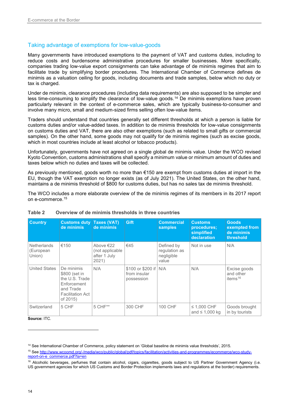#### <span id="page-25-0"></span>Taking advantage of exemptions for low-value-goods

Many governments have introduced exemptions to the payment of VAT and customs duties, including to reduce costs and burdensome administrative procedures for smaller businesses. More specifically, companies trading low-value export consignments can take advantage of de minimis regimes that aim to facilitate trade by simplifying border procedures. The International Chamber of Commerce defines de minimis as a valuation ceiling for goods, including documents and trade samples, below which no duty or tax is charged.

Under de minimis, clearance procedures (including data requirements) are also supposed to be simpler and less time-consuming to simplify the clearance of low-value goods.[14](#page-25-2) De minimis exemptions have proven particularly relevant in the context of e-commerce sales, which are typically business-to-consumer and involve many micro, small and medium-sized firms selling often low-value items.

Traders should understand that countries generally set different thresholds at which a person is liable for customs duties and/or value-added taxes. In addition to de minimis thresholds for low-value consignments on customs duties and VAT, there are also other exemptions (such as related to small gifts or commercial samples). On the other hand, some goods may not qualify for de minimis regimes (such as excise goods, which in most countries include at least alcohol or tobacco products).

Unfortunately, governments have not agreed on a single global de minimis value. Under the WCO revised Kyoto Convention, customs administrations shall specify a minimum value or minimum amount of duties and taxes below which no duties and taxes will be collected.

As previously mentioned, goods worth no more than €150 are exempt from customs duties at import in the EU, though the VAT exemption no longer exists (as of July 2021). The United States, on the other hand, maintains a de minimis threshold of \$800 for customs duties, but has no sales tax de minimis threshold.

The WCO includes a more elaborate overview of the de minimis regimes of its members in its 2017 report on e-commerce.[15](#page-25-3)

| <b>Country</b>                            | <b>Customs duty Taxes (VAT)</b><br>de minimis                                                                    | de minimis                                            | Gift                                                  | <b>Commercial</b><br><b>samples</b>                | <b>Customs</b><br>procedures:<br>simplified<br>declaration | <b>Goods</b><br>exempted from<br>de minimis<br>threshold |
|-------------------------------------------|------------------------------------------------------------------------------------------------------------------|-------------------------------------------------------|-------------------------------------------------------|----------------------------------------------------|------------------------------------------------------------|----------------------------------------------------------|
| <b>Netherlands</b><br>(European<br>Union) | €150                                                                                                             | Above €22<br>(not applicable<br>after 1 July<br>2021) | €45                                                   | Defined by<br>regulation as<br>negligible<br>value | Not in use                                                 | N/A                                                      |
| <b>United States</b>                      | De minimis<br>\$800 (set in<br>the U.S. Trade<br>Enforcement<br>and Trade<br><b>Facilitation Act</b><br>of 2015) | N/A                                                   | \$100 or \$200 if   N/A<br>from insular<br>possession |                                                    | N/A                                                        | Excise goods<br>and other<br>items $16$                  |
| Switzerland                               | 5 CHF                                                                                                            | 5 CHF**                                               | 300 CHF                                               | 100 CHF                                            | $\leq$ 1,000 CHF<br>and $\leq 1,000$ kg                    | Goods brought<br>in by tourists                          |

#### <span id="page-25-1"></span>**Table 2 Overview of de minimis thresholds in three countries**

**Source:** ITC.

<span id="page-25-2"></span><sup>14</sup> See International Chamber of Commerce, policy statement on 'Global baseline de minimis value thresholds', 2015.

<span id="page-25-3"></span><sup>15</sup> See [http://www.wcoomd.org/-/media/wco/public/global/pdf/topics/facilitation/activities-and-programmes/ecommerce/wco-study](http://www.wcoomd.org/-/media/wco/public/global/pdf/topics/facilitation/activities-and-programmes/ecommerce/wco-study-report-on-e_commerce.pdf?la=en)[report-on-e\\_commerce.pdf?la=en](http://www.wcoomd.org/-/media/wco/public/global/pdf/topics/facilitation/activities-and-programmes/ecommerce/wco-study-report-on-e_commerce.pdf?la=en)

<span id="page-25-4"></span><sup>&</sup>lt;sup>16</sup> Alcoholic beverages, perfumes that contain alcohol, cigars, cigarettes, goods subject to US Partner Government Agency (i.e. US government agencies for which US Customs and Border Protection implements laws and regulations at the border) requirements.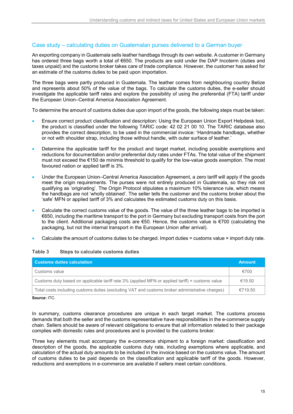## <span id="page-26-0"></span>Case study – calculating duties on Guatemalan purses delivered to a German buyer

An exporting company in Guatemala sells leather handbags through its own website. A customer in Germany has ordered three bags worth a total of €650. The products are sold under the DAP Incoterm (duties and taxes unpaid) and the customs broker takes care of trade compliance. However, the customer has asked for an estimate of the customs duties to be paid upon importation.

The three bags were partly produced in Guatemala. The leather comes from neighbouring country Belize and represents about 50% of the value of the bags. To calculate the customs duties, the e-seller should investigate the applicable tariff rates and explore the possibility of using the preferential (FTA) tariff under the European Union–Central America Association Agreement.

To determine the amount of customs duties due upon import of the goods, the following steps must be taken:

- Ensure correct product classification and description: Using the European Union Export Helpdesk tool, the product is classified under the following TARIC code: 42 02 21 00 10. The TARIC database also provides the correct description, to be used in the commercial invoice: 'Handmade handbags, whether or not with shoulder strap, including those without handle, with outer surface of leather.'
- Determine the applicable tariff for the product and target market, including possible exemptions and reductions for documentation and/or preferential duty rates under FTAs. The total value of the shipment must not exceed the €150 de minimis threshold to qualify for the low-value goods exemption. The most favoured nation or applied tariff is 3%.
- Under the European Union–Central America Association Agreement, a zero tariff will apply if the goods meet the origin requirements. The purses were not entirely produced in Guatemala, so they risk not qualifying as 'originating'. The Origin Protocol stipulates a maximum 10% tolerance rule, which means the handbags are not 'wholly obtained'. The seller tells the customer and the customs broker about the 'safe' MFN or applied tariff of 3% and calculates the estimated customs duty on this basis.
- Calculate the correct customs value of the goods. The value of the three leather bags to be imported is €650, including the maritime transport to the port in Germany but excluding transport costs from the port to the client. Additional packaging costs are €50. Hence, the customs value is €700 (calculating the packaging, but not the internal transport in the European Union after arrival).
- Calculate the amount of customs duties to be charged. Import duties = customs value × import duty rate.

## <span id="page-26-1"></span>**Table 3 Steps to calculate customs duties**

| <b>Customs duties calculation</b>                                                               | <b>Amount</b> |
|-------------------------------------------------------------------------------------------------|---------------|
| Customs value                                                                                   | €700          |
| Customs duty based on applicable tariff rate 3% (applied MFN or applied tariff) × customs value | €19.50        |
| Total costs including customs duties (excluding VAT and customs broker administrative charges)  | €719.50       |

**Source:** ITC.

In summary, customs clearance procedures are unique in each target market. The customs process demands that both the seller and the customs representative have responsibilities in the e-commerce supply chain. Sellers should be aware of relevant obligations to ensure that all information related to their package complies with domestic rules and procedures and is provided to the customs broker.

Three key elements must accompany the e-commerce shipment to a foreign market: classification and description of the goods, the applicable customs duty rate, including exemptions where applicable, and calculation of the actual duty amounts to be included in the invoice based on the customs value. The amount of customs duties to be paid depends on the classification and applicable tariff of the goods. However, reductions and exemptions in e-commerce are available if sellers meet certain conditions.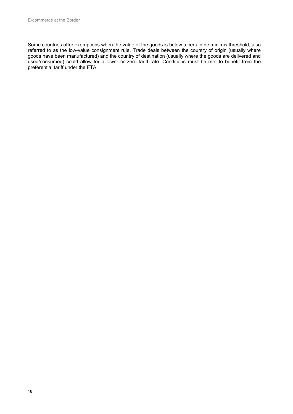Some countries offer exemptions when the value of the goods is below a certain de minimis threshold, also referred to as the low-value consignment rule. Trade deals between the country of origin (usually where goods have been manufactured) and the country of destination (usually where the goods are delivered and used/consumed) could allow for a lower or zero tariff rate. Conditions must be met to benefit from the preferential tariff under the FTA.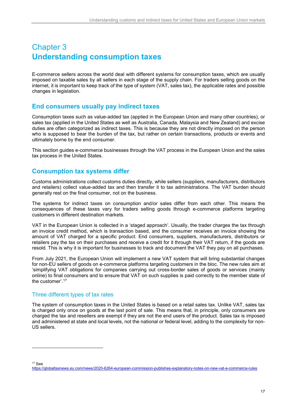## <span id="page-28-0"></span>Chapter 3 **Understanding consumption taxes**

E-commerce sellers across the world deal with different systems for consumption taxes, which are usually imposed on taxable sales by all sellers in each stage of the supply chain. For traders selling goods on the internet, it is important to keep track of the type of system (VAT, sales tax), the applicable rates and possible changes in legislation.

## <span id="page-28-1"></span>**End consumers usually pay indirect taxes**

Consumption taxes such as value-added tax (applied in the European Union and many other countries), or sales tax (applied in the United States as well as Australia, Canada, Malaysia and New Zealand) and excise duties are often categorized as indirect taxes. This is because they are not directly imposed on the person who is supposed to bear the burden of the tax, but rather on certain transactions, products or events and ultimately borne by the end consumer.

This section guides e-commerce businesses through the VAT process in the European Union and the sales tax process in the United States.

## <span id="page-28-2"></span>**Consumption tax systems differ**

Customs administrations collect customs duties directly, while sellers (suppliers, manufacturers, distributors and retailers) collect value-added tax and then transfer it to tax administrations. The VAT burden should generally rest on the final consumer, not on the business.

The systems for indirect taxes on consumption and/or sales differ from each other. This means the consequences of these taxes vary for traders selling goods through e-commerce platforms targeting customers in different destination markets.

VAT in the European Union is collected in a 'staged approach'. Usually, the trader charges the tax through an invoice credit method, which is transaction based, and the consumer receives an invoice showing the amount of VAT charged for a specific product. End consumers, suppliers, manufacturers, distributors or retailers pay the tax on their purchases and receive a credit for it through their VAT return, if the goods are resold. This is why it is important for businesses to track and document the VAT they pay on all purchases.

From July 2021, the European Union will implement a new VAT system that will bring substantial changes for non-EU sellers of goods on e-commerce platforms targeting customers in the bloc. The new rules aim at 'simplifying VAT obligations for companies carrying out cross-border sales of goods or services (mainly online) to final consumers and to ensure that VAT on such supplies is paid correctly to the member state of the customer'.[17](#page-28-4)

## <span id="page-28-3"></span>Three different types of tax rates

The system of consumption taxes in the United States is based on a retail sales tax. Unlike VAT, sales tax is charged only once on goods at the last point of sale. This means that, in principle, only consumers are charged the tax and resellers are exempt if they are not the end users of the product. Sales tax is imposed and administered at state and local levels, not the national or federal level, adding to the complexity for non-US sellers.

<span id="page-28-4"></span><sup>17</sup> See

j

<https://globaltaxnews.ey.com/news/2020-6264-european-commission-publishes-explanatory-notes-on-new-vat-e-commerce-rules>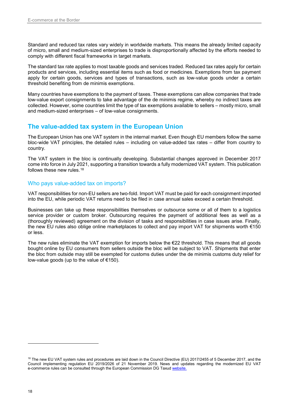Standard and reduced tax rates vary widely in worldwide markets. This means the already limited capacity of micro, small and medium-sized enterprises to trade is disproportionally affected by the efforts needed to comply with different fiscal frameworks in target markets.

The standard tax rate applies to most taxable goods and services traded. Reduced tax rates apply for certain products and services, including essential items such as food or medicines. Exemptions from tax payment apply for certain goods, services and types of transactions, such as low-value goods under a certain threshold benefiting from de minimis exemptions.

Many countries have exemptions to the payment of taxes. These exemptions can allow companies that trade low-value export consignments to take advantage of the de minimis regime, whereby no indirect taxes are collected. However, some countries limit the type of tax exemptions available to sellers – mostly micro, small and medium-sized enterprises – of low-value consignments.

## <span id="page-29-0"></span>**The value-added tax system in the European Union**

The European Union has one VAT system in the internal market. Even though EU members follow the same bloc-wide VAT principles, the detailed rules – including on value-added tax rates – differ from country to country.

The VAT system in the bloc is continually developing. Substantial changes approved in December 2017 come into force in July 2021, supporting a transition towards a fully modernized VAT system. This publication follows these new rules.<sup>[18](#page-29-2)</sup>

#### <span id="page-29-1"></span>Who pays value-added tax on imports?

VAT responsibilities for non-EU sellers are two-fold. Import VAT must be paid for each consignment imported into the EU, while periodic VAT returns need to be filed in case annual sales exceed a certain threshold.

Businesses can take up these responsibilities themselves or outsource some or all of them to a logistics service provider or custom broker. Outsourcing requires the payment of additional fees as well as a (thoroughly reviewed) agreement on the division of tasks and responsibilities in case issues arise. Finally, the new EU rules also oblige online marketplaces to collect and pay import VAT for shipments worth €150 or less.

The new rules eliminate the VAT exemption for imports below the  $E22$  threshold. This means that all goods bought online by EU consumers from sellers outside the bloc will be subject to VAT. Shipments that enter the bloc from outside may still be exempted for customs duties under the de minimis customs duty relief for low-value goods (up to the value of  $€150$ ).

<span id="page-29-2"></span><sup>&</sup>lt;sup>18</sup> The new EU VAT system rules and procedures are laid down in the Council Directive (EU) 2017/2455 of 5 December 2017, and the Council implementing regulation EU 2019/2026 of 21 November 2019. News and updates regarding the modernized EU VAT e-commerce rules can be consulted through the European Commission DG Taxud [website.](https://ec.europa.eu/taxation_customs/business/vat/digital-single-market-modernising-vat-cross-border-ecommerce_en)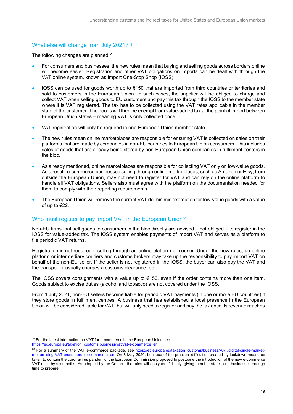## <span id="page-30-0"></span>What else will change from July 2021?<sup>[19](#page-30-2)</sup>

The following changes are planned:<sup>[20](#page-30-3)</sup>

- For consumers and businesses, the new rules mean that buying and selling goods across borders online will become easier. Registration and other VAT obligations on imports can be dealt with through the VAT online system, known as Import One-Stop Shop (IOSS).
- IOSS can be used for goods worth up to €150 that are imported from third countries or territories and sold to customers in the European Union. In such cases, the supplier will be obliged to charge and collect VAT when selling goods to EU customers and pay this tax through the IOSS to the member state where it is VAT registered. The tax has to be collected using the VAT rates applicable in the member state of the customer. The goods will then be exempt from value-added tax at the point of import between European Union states – meaning VAT is only collected once.
- VAT registration will only be required in one European Union member state.
- The new rules mean online marketplaces are responsible for ensuring VAT is collected on sales on their platforms that are made by companies in non-EU countries to European Union consumers. This includes sales of goods that are already being stored by non-European Union companies in fulfilment centers in the bloc.
- As already mentioned, online marketplaces are responsible for collecting VAT only on low-value goods. As a result, e-commerce businesses selling through online marketplaces, such as Amazon or Etsy, from outside the European Union, may not need to register for VAT and can rely on the online platform to handle all VAT obligations. Sellers also must agree with the platform on the documentation needed for them to comply with their reporting requirements.
- The European Union will remove the current VAT de minimis exemption for low-value goods with a value of up to €22.

## <span id="page-30-1"></span>Who must register to pay import VAT in the European Union?

Non-EU firms that sell goods to consumers in the bloc directly are advised – not obliged – to register in the IOSS for value-added tax. The IOSS system enables payments of import VAT and serves as a platform to file periodic VAT returns.

Registration is not required if selling through an online platform or courier. Under the new rules, an online platform or intermediary couriers and customs brokers may take up the responsibility to pay import VAT on behalf of the non-EU seller. If the seller is not registered in the IOSS, the buyer can also pay the VAT and the transporter usually charges a customs clearance fee.

The IOSS covers consignments with a value up to  $E$ 150, even if the order contains more than one item. Goods subject to excise duties (alcohol and tobacco) are not covered under the IOSS.

From 1 July 2021, non-EU sellers become liable for periodic VAT payments (in one or more EU countries) if they store goods in fulfilment centres. A business that has established a local presence in the European Union will be considered liable for VAT, but will only need to register and pay the tax once its revenue reaches

<span id="page-30-2"></span><sup>&</sup>lt;sup>19</sup> For the latest information on VAT for e-commerce in the European Union see:

[https://ec.europa.eu/taxation\\_customs/business/vat/vat-e-commerce\\_en](https://ec.europa.eu/taxation_customs/business/vat/vat-e-commerce_en)

<span id="page-30-3"></span><sup>&</sup>lt;sup>20</sup> For a summary of the VAT e-commerce package, see [https://ec.europa.eu/taxation\\_customs/business/VAT/digital-single-market](https://ec.europa.eu/taxation_customs/business/vat/digital-single-market-modernising-vat-cross-border-ecommerce_en)[modernising-VAT-cross-border-ecommerce\\_en.](https://ec.europa.eu/taxation_customs/business/vat/digital-single-market-modernising-vat-cross-border-ecommerce_en) On 8 May 2020, because of the practical difficulties created by lockdown measures taken to contain the coronavirus pandemic, the European Commission proposed to postpone the introduction of the new e-commerce VAT rules by six months. As adopted by the Council, the rules will apply as of 1 July, giving member states and businesses enough time to prepare.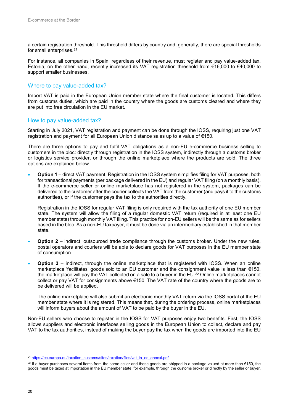a certain registration threshold. This threshold differs by country and, generally, there are special thresholds for small enterprises.<sup>[21](#page-31-2)</sup>

For instance, all companies in Spain, regardless of their revenue, must register and pay value-added tax. Estonia, on the other hand, recently increased its VAT registration threshold from €16,000 to €40,000 to support smaller businesses.

## <span id="page-31-0"></span>Where to pay value-added tax?

Import VAT is paid in the European Union member state where the final customer is located. This differs from customs duties, which are paid in the country where the goods are customs cleared and where they are put into free circulation in the EU market.

#### <span id="page-31-1"></span>How to pay value-added tax?

Starting in July 2021, VAT registration and payment can be done through the IOSS, requiring just one VAT registration and payment for all European Union distance sales up to a value of €150.

There are three options to pay and fulfil VAT obligations as a non-EU e-commerce business selling to customers in the bloc: directly through registration in the IOSS system, indirectly through a customs broker or logistics service provider, or through the online marketplace where the products are sold. The three options are explained below.

• **Option 1** – direct VAT payment. Registration in the IOSS system simplifies filing for VAT purposes, both for transactional payments (per package delivered in the EU) and regular VAT filing (on a monthly basis). If the e-commerce seller or online marketplace has not registered in the system, packages can be delivered to the customer after the courier collects the VAT from the customer (and pays it to the customs authorities), or if the customer pays the tax to the authorities directly.

Registration in the IOSS for regular VAT filing is only required with the tax authority of one EU member state. The system will allow the filing of a regular domestic VAT return (required in at least one EU member state) through monthly VAT filing. This practice for non-EU sellers will be the same as for sellers based in the bloc. As a non-EU taxpayer, it must be done via an intermediary established in that member state.

- **Option 2** indirect, outsourced trade compliance through the customs broker. Under the new rules, postal operators and couriers will be able to declare goods for VAT purposes in the EU member state of consumption.
- **Option 3** indirect, through the online marketplace that is registered with IOSS. When an online marketplace 'facilitates' goods sold to an EU customer and the consignment value is less than €150, the marketplace will pay the VAT collected on a sale to a buyer in the EU.<sup>[22](#page-31-3)</sup> Online marketplaces cannot collect or pay VAT for consignments above €150. The VAT rate of the country where the goods are to be delivered will be applied.

The online marketplace will also submit an electronic monthly VAT return via the IOSS portal of the EU member state where it is registered. This means that, during the ordering process, online marketplaces will inform buyers about the amount of VAT to be paid by the buyer in the EU.

Non-EU sellers who choose to register in the IOSS for VAT purposes enjoy two benefits. First, the IOSS allows suppliers and electronic interfaces selling goods in the European Union to collect, declare and pay VAT to the tax authorities, instead of making the buyer pay the tax when the goods are imported into the EU

<span id="page-31-2"></span><sup>&</sup>lt;sup>21</sup> https://ec.europa.eu/taxation\_customs/sites/taxation/files/vat\_in\_ec\_annexi.pdf

<span id="page-31-3"></span><sup>&</sup>lt;sup>22</sup> If a buyer purchases several items from the same seller and these goods are shipped in a package valued at more than €150, the goods must be taxed at importation in the EU member state, for example, through the customs broker or directly by the seller or buyer.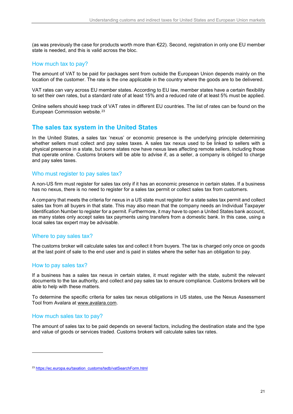(as was previously the case for products worth more than  $E$ 22). Second, registration in only one EU member state is needed, and this is valid across the bloc.

### <span id="page-32-0"></span>How much tax to pay?

The amount of VAT to be paid for packages sent from outside the European Union depends mainly on the location of the customer. The rate is the one applicable in the country where the goods are to be delivered.

VAT rates can vary across EU member states. According to EU law, member states have a certain flexibility to set their own rates, but a standard rate of at least 15% and a reduced rate of at least 5% must be applied.

Online sellers should keep track of VAT rates in different EU countries. The list of rates can be found on the European Commission website.[23](#page-32-6)

## <span id="page-32-1"></span>**The sales tax system in the United States**

In the United States, a sales tax 'nexus' or economic presence is the underlying principle determining whether sellers must collect and pay sales taxes. A sales tax nexus used to be linked to sellers with a physical presence in a state, but some states now have nexus laws affecting remote sellers, including those that operate online. Customs brokers will be able to advise if, as a seller, a company is obliged to charge and pay sales taxes.

#### <span id="page-32-2"></span>Who must register to pay sales tax?

A non-US firm must register for sales tax only if it has an economic presence in certain states. If a business has no nexus, there is no need to register for a sales tax permit or collect sales tax from customers.

A company that meets the criteria for nexus in a US state must register for a state sales tax permit and collect sales tax from all buyers in that state. This may also mean that the company needs an Individual Taxpayer Identification Number to register for a permit. Furthermore, it may have to open a United States bank account, as many states only accept sales tax payments using transfers from a domestic bank. In this case, using a local sales tax expert may be advisable.

## <span id="page-32-3"></span>Where to pay sales tax?

The customs broker will calculate sales tax and collect it from buyers. The tax is charged only once on goods at the last point of sale to the end user and is paid in states where the seller has an obligation to pay.

## <span id="page-32-4"></span>How to pay sales tax?

If a business has a sales tax nexus in certain states, it must register with the state, submit the relevant documents to the tax authority, and collect and pay sales tax to ensure compliance. Customs brokers will be able to help with these matters.

To determine the specific criteria for sales tax nexus obligations in US states, use the Nexus Assessment Tool from Avalara at [www.avalara.com.](http://www.avalara.com/)

## <span id="page-32-5"></span>How much sales tax to pay?

-

The amount of sales tax to be paid depends on several factors, including the destination state and the type and value of goods or services traded. Customs brokers will calculate sales tax rates.

<span id="page-32-6"></span><sup>&</sup>lt;sup>23</sup> https://ec.europa.eu/taxation\_customs/tedb/vatSearchForm.html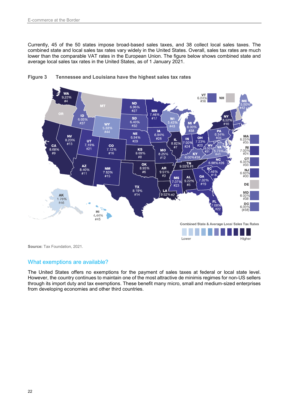Currently, 45 of the 50 states impose broad-based sales taxes, and 38 collect local sales taxes. The combined state and local sales tax rates vary widely in the United States. Overall, sales tax rates are much lower than the comparable VAT rates in the European Union. The figure below shows combined state and average local sales tax rates in the United States, as of 1 January 2021.



<span id="page-33-1"></span>

**Source:** Tax Foundation, 2021.

## <span id="page-33-0"></span>What exemptions are available?

The United States offers no exemptions for the payment of sales taxes at federal or local state level. However, the country continues to maintain one of the most attractive de minimis regimes for non-US sellers through its import duty and tax exemptions. These benefit many micro, small and medium-sized enterprises from developing economies and other third countries.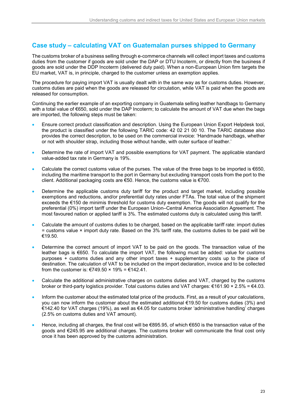## <span id="page-34-0"></span>**Case study – calculating VAT on Guatemalan purses shipped to Germany**

The customs broker of a business selling through e-commerce channels will collect import taxes and customs duties from the customer if goods are sold under the DAP or DTU Incoterm, or directly from the business if goods are sold under the DDP Incoterm (delivered duty paid). When a non-European Union firm targets the EU market, VAT is, in principle, charged to the customer unless an exemption applies.

The procedure for paying import VAT is usually dealt with in the same way as for customs duties. However, customs duties are paid when the goods are released for circulation, while VAT is paid when the goods are released for consumption.

Continuing the earlier example of an exporting company in Guatemala selling leather handbags to Germany with a total value of €650, sold under the DAP Incoterm; to calculate the amount of VAT due when the bags are imported, the following steps must be taken:

- Ensure correct product classification and description. Using the European Union Export Helpdesk tool, the product is classified under the following TARIC code: 42 02 21 00 10. The TARIC database also provides the correct description, to be used on the commercial invoice: 'Handmade handbags, whether or not with shoulder strap, including those without handle, with outer surface of leather.'
- Determine the rate of import VAT and possible exemptions for VAT payment. The applicable standard value-added tax rate in Germany is 19%.
- Calculate the correct customs value of the purses. The value of the three bags to be imported is €650, including the maritime transport to the port in Germany but excluding transport costs from the port to the client. Additional packaging costs are €50. Hence, the customs value is €700.
- Determine the applicable customs duty tariff for the product and target market, including possible exemptions and reductions, and/or preferential duty rates under FTAs. The total value of the shipment exceeds the €150 de minimis threshold for customs duty exemption. The goods will not qualify for the preferential (0%) import tariff under the European Union–Central America Association Agreement. The most favoured nation or applied tariff is 3%. The estimated customs duty is calculated using this tariff.
- Calculate the amount of customs duties to be charged, based on the applicable tariff rate: import duties  $=$  customs value  $\times$  import duty rate. Based on the 3% tariff rate, the customs duties to be paid will be €19.50.
- Determine the correct amount of import VAT to be paid on the goods. The transaction value of the leather bags is €650. To calculate the import VAT, the following must be added: value for customs purposes + customs duties and any other import taxes + supplementary costs up to the place of destination. The calculation of VAT to be included on the import declaration, invoice and to be collected from the customer is: €749.50  $\times$  19% = €142.41.
- Calculate the additional administrative charges on customs duties and VAT, charged by the customs broker or third-party logistics provider. Total customs duties and VAT charges:  $\epsilon$ 161.90 × 2.5% =  $\epsilon$ 4.03.
- Inform the customer about the estimated total price of the products. First, as a result of your calculations, you can now inform the customer about the estimated additional €19.50 for customs duties (3%) and €142.40 for VAT charges (19%), as well as €4.05 for customs broker 'administrative handling' charges (2.5% on customs duties and VAT amount).
- Hence, including all charges, the final cost will be €895.95, of which €650 is the transaction value of the goods and €245.95 are additional charges. The customs broker will communicate the final cost only once it has been approved by the customs administration.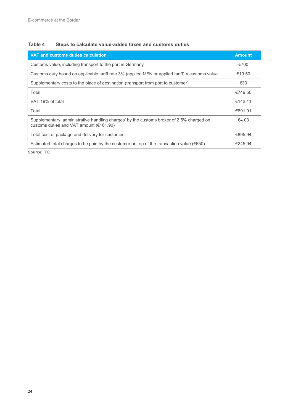## <span id="page-35-0"></span>**Table 4 Steps to calculate value-added taxes and customs duties**

| <b>VAT and customs duties calculation</b>                                                                                           | <b>Amount</b> |
|-------------------------------------------------------------------------------------------------------------------------------------|---------------|
| Customs value, including transport to the port in Germany                                                                           | €700          |
| Customs duty based on applicable tariff rate 3% (applied MFN or applied tariff) × customs value                                     | €19.50        |
| Supplementary costs to the place of destination (transport from port to customer)                                                   | €30           |
| Total                                                                                                                               | €749.50       |
| VAT 19% of total                                                                                                                    | €142.41       |
| Total                                                                                                                               | €891.91       |
| Supplementary 'administrative handling charges' by the customs broker of 2.5% charged on<br>customs duties and VAT amount (€161.90) | €4.03         |
| Total cost of package and delivery for customer                                                                                     | €895.94       |
| Estimated total charges to be paid by the customer on top of the transaction value ( $\epsilon$ 650)                                | €245.94       |

**Source**: ITC.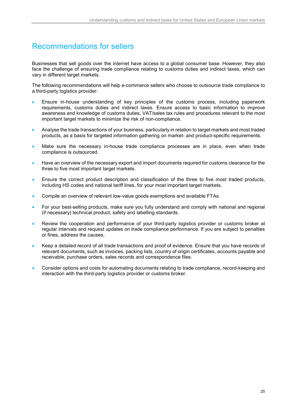## <span id="page-36-0"></span>Recommendations for sellers

Businesses that sell goods over the internet have access to a global consumer base. However, they also face the challenge of ensuring trade compliance relating to customs duties and indirect taxes, which can vary in different target markets.

The following recommendations will help e-commerce sellers who choose to outsource trade compliance to a third-party logistics provider:

- Ensure in-house understanding of key principles of the customs process, including paperwork requirements, customs duties and indirect taxes. Ensure access to basic information to improve awareness and knowledge of customs duties, VAT/sales tax rules and procedures relevant to the most important target markets to minimize the risk of non-compliance.
- Analyse the trade transactions of your business, particularly in relation to target markets and most traded products, as a basis for targeted information gathering on market- and product-specific requirements.
- Make sure the necessary in-house trade compliance processes are in place, even when trade compliance is outsourced.
- Have an overview of the necessary export and import documents required for customs clearance for the three to five most important target markets.
- Ensure the correct product description and classification of the three to five most traded products, including HS codes and national tariff lines, for your most important target markets.
- Compile an overview of relevant low-value goods exemptions and available FTAs.
- For your best-selling products, make sure you fully understand and comply with national and regional (if necessary) technical product, safety and labelling standards.
- Review the cooperation and performance of your third-party logistics provider or customs broker at regular intervals and request updates on trade compliance performance. If you are subject to penalties or fines, address the causes.
- Keep a detailed record of all trade transactions and proof of evidence. Ensure that you have records of relevant documents, such as invoices, packing lists, country of origin certificates, accounts payable and receivable, purchase orders, sales records and correspondence files.
- Consider options and costs for automating documents relating to trade compliance, record-keeping and interaction with the third-party logistics provider or customs broker.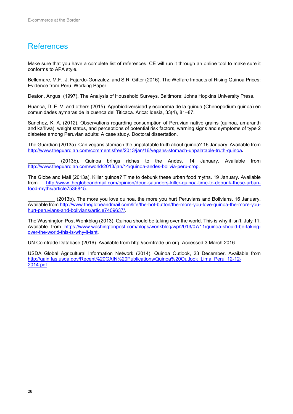## <span id="page-37-0"></span>References

Make sure that you have a complete list of references. CE will run it through an online tool to make sure it conforms to APA style.

Bellemare, M.F., J. Fajardo-Gonzalez, and S.R. Gitter (2016). The Welfare Impacts of Rising Quinoa Prices: Evidence from Peru. Working Paper.

Deaton, Angus. (1997). The Analysis of Household Surveys. Baltimore: Johns Hopkins University Press.

Huanca, D. E. V. and others (2015). Agrobiodiversidad y economía de la quinua (Chenopodium quinoa) en comunidades aymaras de la cuenca del Titicaca. Arica: Idesia, 33(4), 81–87.

Sanchez, K. A. (2012). Observations regarding consumption of Peruvian native grains (quinoa, amaranth and kañiwa), weight status, and perceptions of potential risk factors, warning signs and symptoms of type 2 diabetes among Peruvian adults: A case study. Doctoral dissertation.

The Guardian (2013a). Can vegans stomach the unpalatable truth about quinoa? 16 January. Available from [http://www.theguardian.com/commentisfree/2013/jan/16/vegans-stomach-unpalatable-truth-quinoa.](http://www.theguardian.com/commentisfree/2013/jan/16/vegans-stomach-unpalatable-truth-quinoa)

(2013b). Quinoa brings riches to the Andes. 14 January. Available from [http://www.theguardian.com/world/2013/jan/14/quinoa-andes-bolivia-peru-crop.](http://www.theguardian.com/world/2013/jan/14/quinoa-andes-bolivia-peru-crop)

The Globe and Mail (2013a). Killer quinoa? Time to debunk these urban food myths. 19 January. Available from http://www.theglobeandmail.com/opinion/doug-saunders-killer-guinoa-time-to-debunk-these-urban[http://www.theglobeandmail.com/opinion/doug-saunders-killer-quinoa-time-to-debunk-these-urban](http://www.theglobeandmail.com/opinion/doug-saunders-killer-quinoa-time-to-debunk-these-urban-food-myths/article7536845)[food-myths/article7536845.](http://www.theglobeandmail.com/opinion/doug-saunders-killer-quinoa-time-to-debunk-these-urban-food-myths/article7536845)

(2013b). The more you love quinoa, the more you hurt Peruvians and Bolivians. 16 January. Available fro[m http://www.theglobeandmail.com/life/the-hot-button/the-more-you-love-quinoa-the-more-you](http://www.theglobeandmail.com/life/the-hot-button/the-more-you-love-quinoa-the-more-you-hurt-peruvians-and-bolivians/article7409637/)[hurt-peruvians-and-bolivians/article7409637/.](http://www.theglobeandmail.com/life/the-hot-button/the-more-you-love-quinoa-the-more-you-hurt-peruvians-and-bolivians/article7409637/)

The Washington Post Wonkblog (2013). Quinoa should be taking over the world. This is why it isn't. July 11. Available from [https://www.washingtonpost.com/blogs/wonkblog/wp/2013/07/11/quinoa-should-be-taking](https://www.washingtonpost.com/blogs/wonkblog/wp/2013/07/11/quinoa-should-be-taking-over-the-world-this-is-why-it-isnt)[over-the-world-this-is-why-it-isnt.](https://www.washingtonpost.com/blogs/wonkblog/wp/2013/07/11/quinoa-should-be-taking-over-the-world-this-is-why-it-isnt)

UN Comtrade Database (2016). Available from http://comtrade.un.org. Accessed 3 March 2016.

USDA Global Agricultural Information Network (2014). Quinoa Outlook, 23 December. Available from [http://gain.fas.usda.gov/Recent%20GAIN%20Publications/Quinoa%20Outlook\\_Lima\\_Peru\\_12-12-](http://gain.fas.usda.gov/Recent%20GAIN%20Publications/Quinoa%20Outlook_Lima_Peru_12-12-2014.pdf) [2014.pdf.](http://gain.fas.usda.gov/Recent%20GAIN%20Publications/Quinoa%20Outlook_Lima_Peru_12-12-2014.pdf)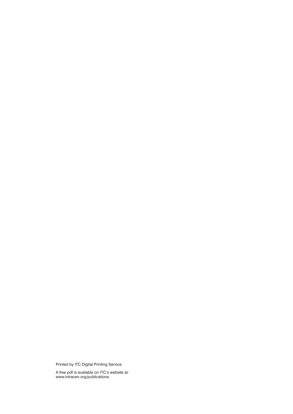Printed by ITC Digital Printing Service.

A free pdf is available on ITC's website at: www.intracen.org/publications.